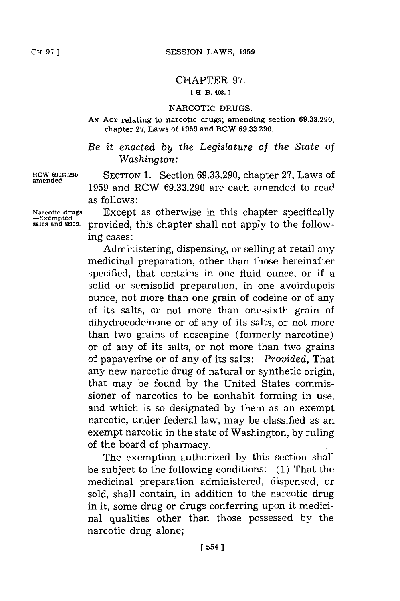## CHAPTER **97.**

## **[H. B. 408. 1**

## NARCOTIC **DRUGS.**

**AN ACT** relating to narcotic drugs; amending section **69.33.290,** chapter **27,** Laws of **1959** and RCW **69.33.290.**

*Be it enacted by the Legislature of the State of Washington:*

**amended.**

**RCW 69.33.290 SECTION 1.** Section **69.33.290,** chapter **27,** Laws of **1959** and RCW **69.33.290** are each amended to read as follows:

**Narcotic drugs** Except as otherwise in this chapter specifically **-Exempted** provided, this chapter shall not apply to the following cases:

> Administering, dispensing, or selling at retail any medicinal preparation, other than those hereinafter specified, that contains in one fluid ounce, or if a solid or semisolid preparation, in one avoirdupois ounce, not more than one grain of codeine or of any of its salts, or not more than one-sixth grain of dihydrocodeinone or of any of its salts, or not more than two grains of noscapine (formerly narcotine) or of any of its salts, or not more than two grains of papaverine or of any of its salts: *Provided,* That any new narcotic drug of natural or synthetic origin, that may be found **by** the United States commissioner of narcotics to be nonhabit forming in use, and which is so designated **by** them as an exempt narcotic, under federal law, may be classified as an exempt narcotic in the state of Washington, **by** ruling of the board of pharmacy.

> The exemption authorized **by** this section shall be subject to the following conditions: **(1)** That the medicinal preparation administered, dispensed, or sold, shall contain, in addition to the narcotic drug in it, some drug or drugs conferring upon it medicinal qualities other than those possessed **by** the narcotic drug alone;